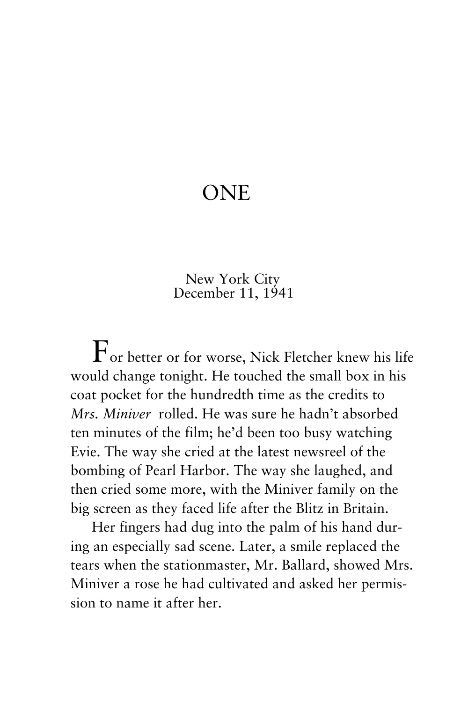## **ONE**

 New York City December 11, 1941

 $\Gamma$ or better or for worse, Nick Fletcher knew his life would change tonight. He touched the small box in his coat pocket for the hundredth time as the credits to *Mrs. Miniver* rolled. He was sure he hadn't absorbed ten minutes of the film; he'd been too busy watching Evie. The way she cried at the latest newsreel of the bombing of Pearl Harbor. The way she laughed, and then cried some more, with the Miniver family on the big screen as they faced life after the Blitz in Britain.

Her fingers had dug into the palm of his hand during an especially sad scene. Later, a smile replaced the tears when the stationmaster, Mr. Ballard, showed Mrs. Miniver a rose he had cultivated and asked her permission to name it after her.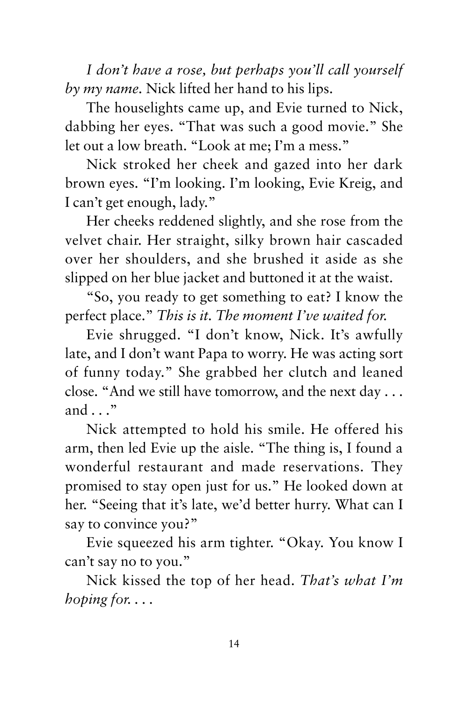*I don't have a rose, but perhaps you'll call yourself by my name.* Nick lifted her hand to his lips.

The houselights came up, and Evie turned to Nick, dabbing her eyes. "That was such a good movie." She let out a low breath. "Look at me; I'm a mess."

Nick stroked her cheek and gazed into her dark brown eyes. "I'm looking. I'm looking, Evie Kreig, and I can't get enough, lady."

Her cheeks reddened slightly, and she rose from the velvet chair. Her straight, silky brown hair cascaded over her shoulders, and she brushed it aside as she slipped on her blue jacket and buttoned it at the waist.

"So, you ready to get something to eat? I know the perfect place." *This is it. The moment I've waited for.*

Evie shrugged. "I don't know, Nick. It's awfully late, and I don't want Papa to worry. He was acting sort of funny today." She grabbed her clutch and leaned close. "And we still have tomorrow, and the next day . . . and . . ."

Nick attempted to hold his smile. He offered his arm, then led Evie up the aisle. "The thing is, I found a wonderful restaurant and made reservations. They promised to stay open just for us." He looked down at her. "Seeing that it's late, we'd better hurry. What can I say to convince you?"

Evie squeezed his arm tighter. "Okay. You know I can't say no to you."

Nick kissed the top of her head. *That's what I'm hoping for. . . .*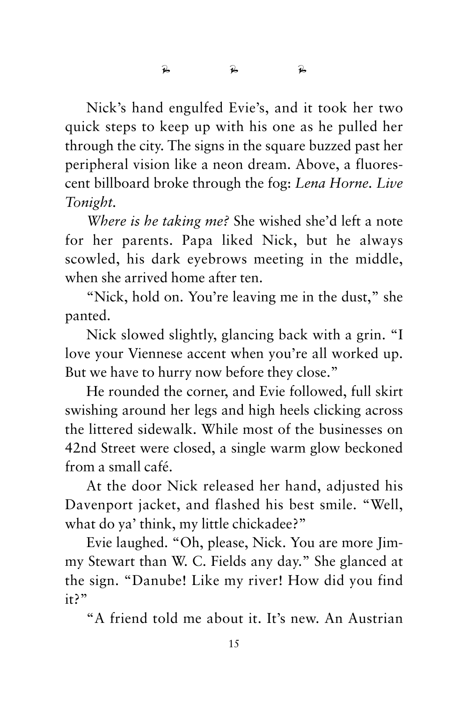Nick's hand engulfed Evie's, and it took her two quick steps to keep up with his one as he pulled her through the city. The signs in the square buzzed past her peripheral vision like a neon dream. Above, a fluorescent billboard broke through the fog: *Lena Horne. Live Tonight.*

*Where is he taking me?* She wished she'd left a note for her parents. Papa liked Nick, but he always scowled, his dark eyebrows meeting in the middle, when she arrived home after ten.

"Nick, hold on. You're leaving me in the dust," she panted.

Nick slowed slightly, glancing back with a grin. "I love your Viennese accent when you're all worked up. But we have to hurry now before they close."

He rounded the corner, and Evie followed, full skirt swishing around her legs and high heels clicking across the littered sidewalk. While most of the businesses on 42nd Street were closed, a single warm glow beckoned from a small café.

At the door Nick released her hand, adjusted his Davenport jacket, and flashed his best smile. "Well, what do ya' think, my little chickadee?"

Evie laughed. "Oh, please, Nick. You are more Jimmy Stewart than W. C. Fields any day." She glanced at the sign. "Danube! Like my river! How did you find it?"

"A friend told me about it. It's new. An Austrian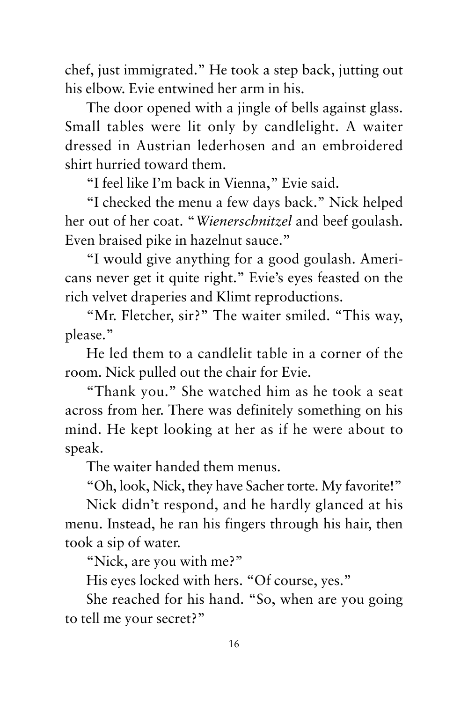chef, just immigrated." He took a step back, jutting out his elbow. Evie entwined her arm in his.

The door opened with a jingle of bells against glass. Small tables were lit only by candlelight. A waiter dressed in Austrian lederhosen and an embroidered shirt hurried toward them.

"I feel like I'm back in Vienna," Evie said.

"I checked the menu a few days back." Nick helped her out of her coat. "*Wienerschnitzel* and beef goulash. Even braised pike in hazelnut sauce."

"I would give anything for a good goulash. Americans never get it quite right." Evie's eyes feasted on the rich velvet draperies and Klimt reproductions.

"Mr. Fletcher, sir?" The waiter smiled. "This way, please."

He led them to a candlelit table in a corner of the room. Nick pulled out the chair for Evie.

"Thank you." She watched him as he took a seat across from her. There was definitely something on his mind. He kept looking at her as if he were about to speak.

The waiter handed them menus.

"Oh, look, Nick, they have Sacher torte. My favorite!"

Nick didn't respond, and he hardly glanced at his menu. Instead, he ran his fingers through his hair, then took a sip of water.

"Nick, are you with me?"

His eyes locked with hers. "Of course, yes."

She reached for his hand. "So, when are you going to tell me your secret?"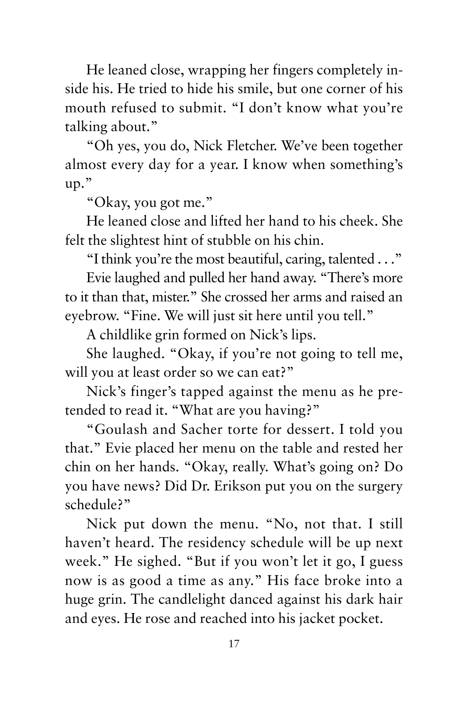He leaned close, wrapping her fingers completely inside his. He tried to hide his smile, but one corner of his mouth refused to submit. "I don't know what you're talking about."

"Oh yes, you do, Nick Fletcher. We've been together almost every day for a year. I know when something's up."

"Okay, you got me."

He leaned close and lifted her hand to his cheek. She felt the slightest hint of stubble on his chin.

"I think you're the most beautiful, caring, talented . . ."

Evie laughed and pulled her hand away. "There's more to it than that, mister." She crossed her arms and raised an eyebrow. "Fine. We will just sit here until you tell."

A childlike grin formed on Nick's lips.

She laughed. "Okay, if you're not going to tell me, will you at least order so we can eat?"

Nick's finger's tapped against the menu as he pretended to read it. "What are you having?"

"Goulash and Sacher torte for dessert. I told you that." Evie placed her menu on the table and rested her chin on her hands. "Okay, really. What's going on? Do you have news? Did Dr. Erikson put you on the surgery schedule?"

Nick put down the menu. "No, not that. I still haven't heard. The residency schedule will be up next week." He sighed. "But if you won't let it go, I guess now is as good a time as any." His face broke into a huge grin. The candlelight danced against his dark hair and eyes. He rose and reached into his jacket pocket.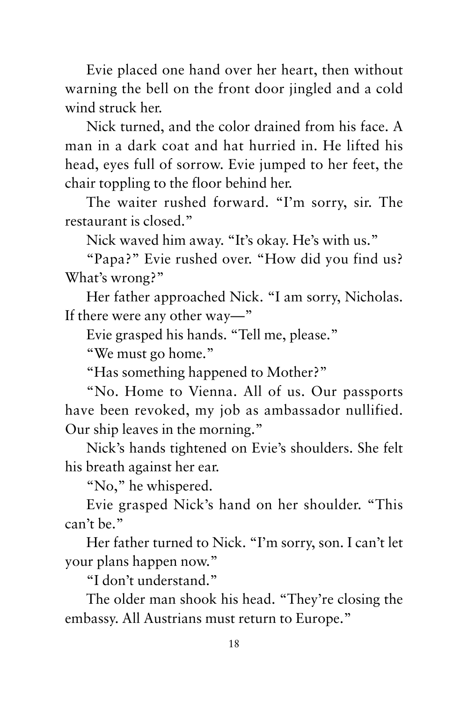Evie placed one hand over her heart, then without warning the bell on the front door jingled and a cold wind struck her.

Nick turned, and the color drained from his face. A man in a dark coat and hat hurried in. He lifted his head, eyes full of sorrow. Evie jumped to her feet, the chair toppling to the floor behind her.

The waiter rushed forward. "I'm sorry, sir. The restaurant is closed."

Nick waved him away. "It's okay. He's with us."

"Papa?" Evie rushed over. "How did you find us? What's wrong?"

Her father approached Nick. "I am sorry, Nicholas. If there were any other way—"

Evie grasped his hands. "Tell me, please."

"We must go home."

"Has something happened to Mother?"

"No. Home to Vienna. All of us. Our passports have been revoked, my job as ambassador nullified. Our ship leaves in the morning."

Nick's hands tightened on Evie's shoulders. She felt his breath against her ear.

"No," he whispered.

Evie grasped Nick's hand on her shoulder. "This can't be."

Her father turned to Nick. "I'm sorry, son. I can't let your plans happen now."

"I don't understand."

The older man shook his head. "They're closing the embassy. All Austrians must return to Europe."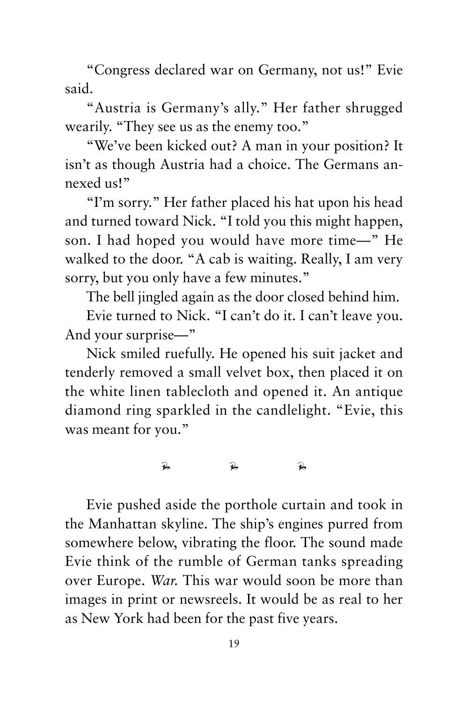"Congress declared war on Germany, not us!" Evie said.

"Austria is Germany's ally." Her father shrugged wearily. "They see us as the enemy too."

"We've been kicked out? A man in your position? It isn't as though Austria had a choice. The Germans annexed us!"

"I'm sorry." Her father placed his hat upon his head and turned toward Nick. "I told you this might happen, son. I had hoped you would have more time—" He walked to the door. "A cab is waiting. Really, I am very sorry, but you only have a few minutes."

The bell jingled again as the door closed behind him.

Evie turned to Nick. "I can't do it. I can't leave you. And your surprise—"

Nick smiled ruefully. He opened his suit jacket and tenderly removed a small velvet box, then placed it on the white linen tablecloth and opened it. An antique diamond ring sparkled in the candlelight. "Evie, this was meant for you."

 $\overrightarrow{p}$   $\overrightarrow{p}$   $\overrightarrow{p}$ 

Evie pushed aside the porthole curtain and took in the Manhattan skyline. The ship's engines purred from somewhere below, vibrating the floor. The sound made Evie think of the rumble of German tanks spreading over Europe. *War.* This war would soon be more than images in print or newsreels. It would be as real to her as New York had been for the past five years.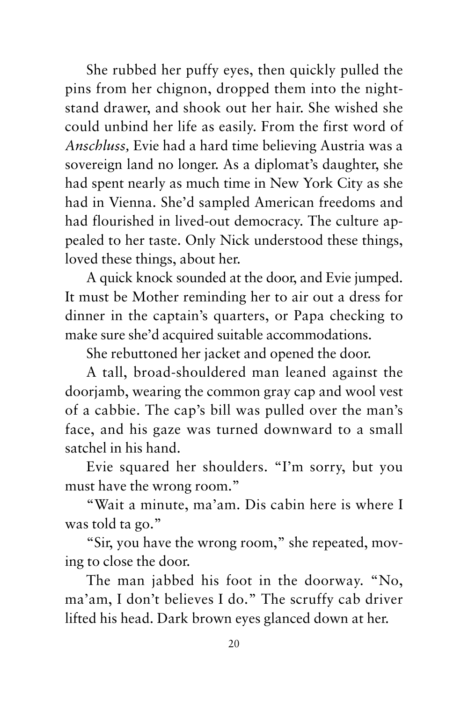She rubbed her puffy eyes, then quickly pulled the pins from her chignon, dropped them into the nightstand drawer, and shook out her hair. She wished she could unbind her life as easily. From the first word of *Anschluss,* Evie had a hard time believing Austria was a sovereign land no longer. As a diplomat's daughter, she had spent nearly as much time in New York City as she had in Vienna. She'd sampled American freedoms and had flourished in lived-out democracy. The culture appealed to her taste. Only Nick understood these things, loved these things, about her.

A quick knock sounded at the door, and Evie jumped. It must be Mother reminding her to air out a dress for dinner in the captain's quarters, or Papa checking to make sure she'd acquired suitable accommodations.

She rebuttoned her jacket and opened the door.

A tall, broad-shouldered man leaned against the doorjamb, wearing the common gray cap and wool vest of a cabbie. The cap's bill was pulled over the man's face, and his gaze was turned downward to a small satchel in his hand.

Evie squared her shoulders. "I'm sorry, but you must have the wrong room."

"Wait a minute, ma'am. Dis cabin here is where I was told ta go."

"Sir, you have the wrong room," she repeated, moving to close the door.

The man jabbed his foot in the doorway. "No, ma'am, I don't believes I do." The scruffy cab driver lifted his head. Dark brown eyes glanced down at her.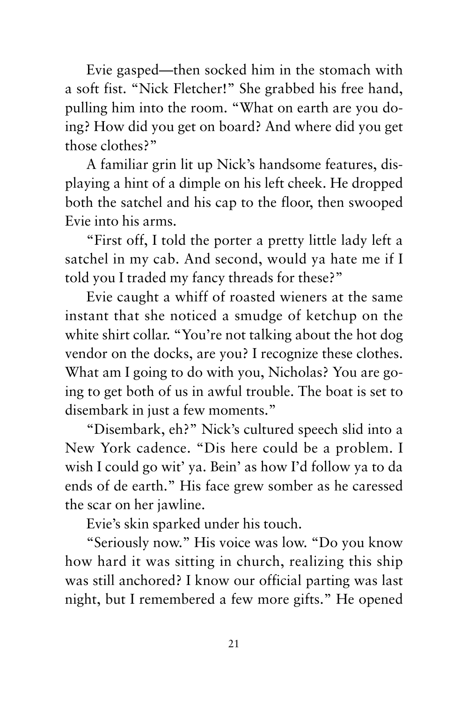Evie gasped—then socked him in the stomach with a soft fist. "Nick Fletcher!" She grabbed his free hand, pulling him into the room. "What on earth are you doing? How did you get on board? And where did you get those clothes?"

A familiar grin lit up Nick's handsome features, displaying a hint of a dimple on his left cheek. He dropped both the satchel and his cap to the floor, then swooped Evie into his arms.

"First off, I told the porter a pretty little lady left a satchel in my cab. And second, would ya hate me if I told you I traded my fancy threads for these?"

Evie caught a whiff of roasted wieners at the same instant that she noticed a smudge of ketchup on the white shirt collar. "You're not talking about the hot dog vendor on the docks, are you? I recognize these clothes. What am I going to do with you, Nicholas? You are going to get both of us in awful trouble. The boat is set to disembark in just a few moments."

"Disembark, eh?" Nick's cultured speech slid into a New York cadence. "Dis here could be a problem. I wish I could go wit' ya. Bein' as how I'd follow ya to da ends of de earth." His face grew somber as he caressed the scar on her jawline.

Evie's skin sparked under his touch.

"Seriously now." His voice was low. "Do you know how hard it was sitting in church, realizing this ship was still anchored? I know our official parting was last night, but I remembered a few more gifts." He opened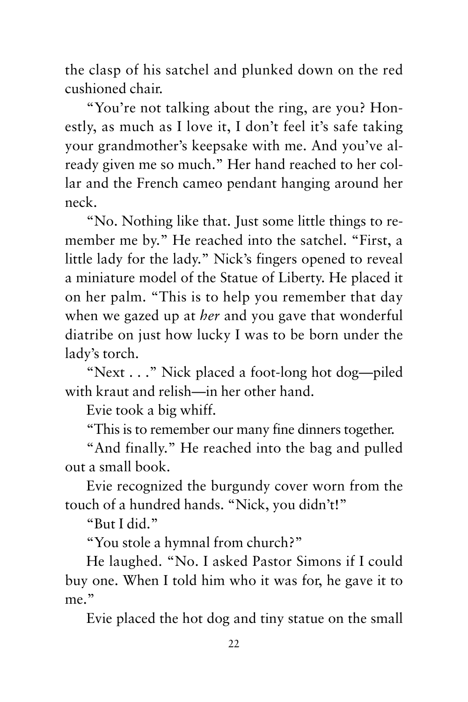the clasp of his satchel and plunked down on the red cushioned chair.

"You're not talking about the ring, are you? Honestly, as much as I love it, I don't feel it's safe taking your grandmother's keepsake with me. And you've already given me so much." Her hand reached to her collar and the French cameo pendant hanging around her neck.

"No. Nothing like that. Just some little things to remember me by." He reached into the satchel. "First, a little lady for the lady." Nick's fingers opened to reveal a miniature model of the Statue of Liberty. He placed it on her palm. "This is to help you remember that day when we gazed up at *her* and you gave that wonderful diatribe on just how lucky I was to be born under the lady's torch.

"Next . . ." Nick placed a foot-long hot dog—piled with kraut and relish—in her other hand.

Evie took a big whiff.

"This is to remember our many fine dinners together.

"And finally." He reached into the bag and pulled out a small book.

Evie recognized the burgundy cover worn from the touch of a hundred hands. "Nick, you didn't!"

"But I did."

"You stole a hymnal from church?"

He laughed. "No. I asked Pastor Simons if I could buy one. When I told him who it was for, he gave it to me."

Evie placed the hot dog and tiny statue on the small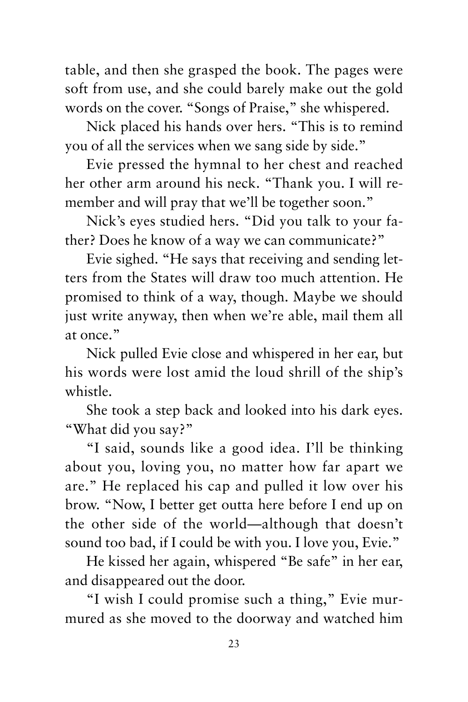table, and then she grasped the book. The pages were soft from use, and she could barely make out the gold words on the cover. "Songs of Praise," she whispered.

Nick placed his hands over hers. "This is to remind you of all the services when we sang side by side."

Evie pressed the hymnal to her chest and reached her other arm around his neck. "Thank you. I will remember and will pray that we'll be together soon."

Nick's eyes studied hers. "Did you talk to your father? Does he know of a way we can communicate?"

Evie sighed. "He says that receiving and sending letters from the States will draw too much attention. He promised to think of a way, though. Maybe we should just write anyway, then when we're able, mail them all at once."

Nick pulled Evie close and whispered in her ear, but his words were lost amid the loud shrill of the ship's whistle.

She took a step back and looked into his dark eyes. "What did you say?"

"I said, sounds like a good idea. I'll be thinking about you, loving you, no matter how far apart we are." He replaced his cap and pulled it low over his brow. "Now, I better get outta here before I end up on the other side of the world—although that doesn't sound too bad, if I could be with you. I love you, Evie."

He kissed her again, whispered "Be safe" in her ear, and disappeared out the door.

"I wish I could promise such a thing," Evie murmured as she moved to the doorway and watched him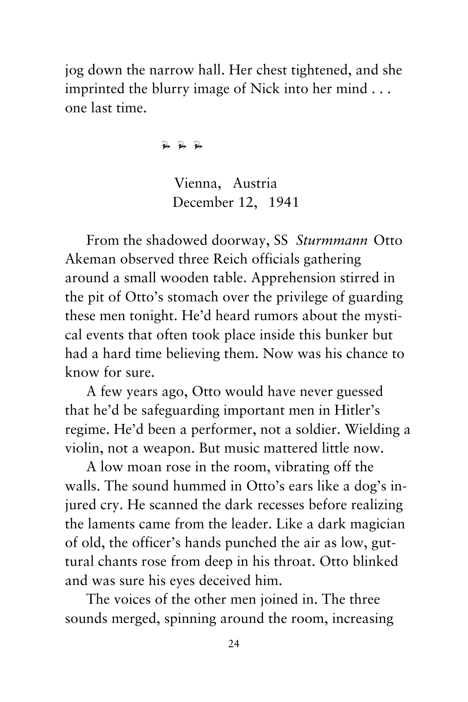jog down the narrow hall. Her chest tightened, and she imprinted the blurry image of Nick into her mind . . . one last time.

 $\overline{R}$   $\overline{R}$   $\overline{R}$ 

Vienna, Austria December 12, 1941

From the shadowed doorway, SS *Sturmmann* Otto Akeman observed three Reich officials gathering around a small wooden table. Apprehension stirred in the pit of Otto's stomach over the privilege of guarding these men tonight. He'd heard rumors about the mystical events that often took place inside this bunker but had a hard time believing them. Now was his chance to know for sure.

A few years ago, Otto would have never guessed that he'd be safeguarding important men in Hitler's regime. He'd been a performer, not a soldier. Wielding a violin, not a weapon. But music mattered little now.

A low moan rose in the room, vibrating off the walls. The sound hummed in Otto's ears like a dog's injured cry. He scanned the dark recesses before realizing the laments came from the leader. Like a dark magician of old, the officer's hands punched the air as low, guttural chants rose from deep in his throat. Otto blinked and was sure his eyes deceived him.

The voices of the other men joined in. The three sounds merged, spinning around the room, increasing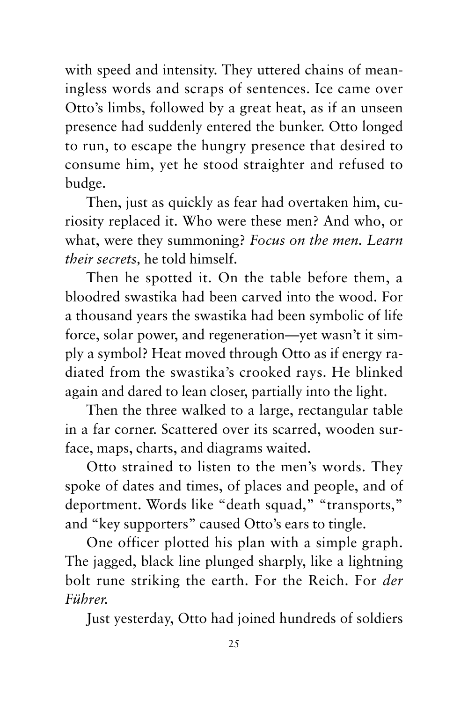with speed and intensity. They uttered chains of meaningless words and scraps of sentences. Ice came over Otto's limbs, followed by a great heat, as if an unseen presence had suddenly entered the bunker. Otto longed to run, to escape the hungry presence that desired to consume him, yet he stood straighter and refused to budge.

Then, just as quickly as fear had overtaken him, curiosity replaced it. Who were these men? And who, or what, were they summoning? *Focus on the men. Learn their secrets,* he told himself.

Then he spotted it. On the table before them, a bloodred swastika had been carved into the wood. For a thousand years the swastika had been symbolic of life force, solar power, and regeneration—yet wasn't it simply a symbol? Heat moved through Otto as if energy radiated from the swastika's crooked rays. He blinked again and dared to lean closer, partially into the light.

Then the three walked to a large, rectangular table in a far corner. Scattered over its scarred, wooden surface, maps, charts, and diagrams waited.

Otto strained to listen to the men's words. They spoke of dates and times, of places and people, and of deportment. Words like "death squad," "transports," and "key supporters" caused Otto's ears to tingle.

One officer plotted his plan with a simple graph. The jagged, black line plunged sharply, like a lightning bolt rune striking the earth. For the Reich. For *der Führer.* 

Just yesterday, Otto had joined hundreds of soldiers